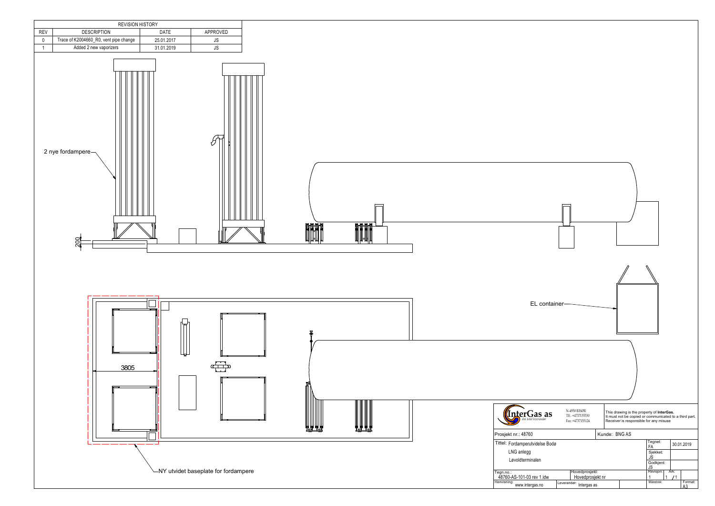